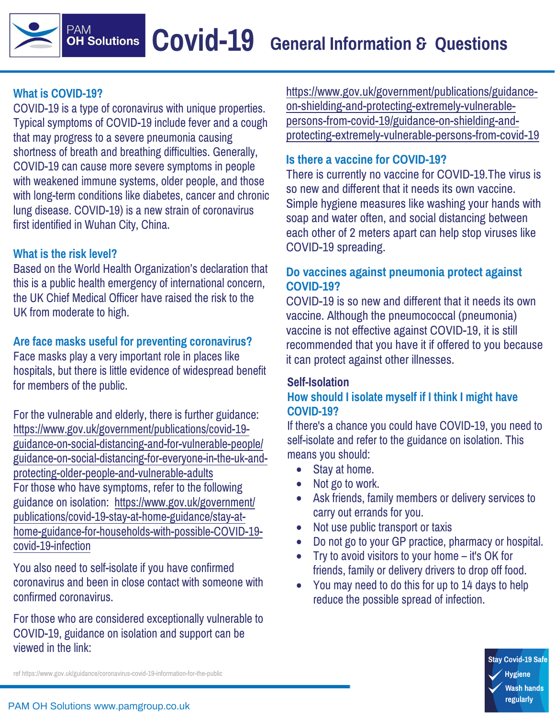# **What is COVID-19?**

**PAM** 

COVID-19 is a type of coronavirus with unique properties. Typical symptoms of COVID-19 include fever and a cough that may progress to a severe pneumonia causing shortness of breath and breathing difficulties. Generally, COVID-19 can cause more severe symptoms in people with weakened immune systems, older people, and those with long-term conditions like diabetes, cancer and chronic lung disease. COVID-19) is a new strain of coronavirus first identified in Wuhan City, China.

## **What is the risk level?**

Based on the World Health Organization's declaration that this is a public health emergency of international concern, the UK Chief Medical Officer have raised the risk to the UK from moderate to high.

#### **Are face masks useful for preventing coronavirus?**

Face masks play a very important role in places like hospitals, but there is little evidence of widespread benefit for members of the public.

For the vulnerable and elderly, there is further guidance: https://www.gov.uk/government/publications/covid-19 guidance-on-social-distancing-and-for-vulnerable-people/ [guidance-on-social-distancing-for-everyone-in-the-uk-and](https://www.gov.uk/government/publications/covid-19-guidance-on-social-distancing-and-for-vulnerable-people/guidance-on-social-distancing-for-everyone-in-the-uk-and-protecting-older-people-and-vulnerable-adults)protecting-older-people-and-vulnerable-adults For those who have symptoms, refer to the following guidance on isolation: https://www.gov.uk/government/ publications/covid-19-stay-at-home-guidance/stay-athome-guidance-for-households-with-possible-COVID-19 covid-19-infection

You also need to self-isolate if you have confirmed [coronavirus and been in close contact with someone with](https://www.gov.uk/government/publications/covid-19-stay-at-home-guidance/stay-at-home-guidance-for-households-with-possible-COVID-19-covid-19-infection)  confirmed coronavirus.

For those who are considered exceptionally vulnerable to COVID-19, guidance on isolation and support can be viewed in the link:

[https://www.gov.uk/government/publications/guidance](https://www.gov.uk/government/publications/guidance-on-shielding-and-protecting-extremely-vulnerable-persons-from-covid-19/guidance-on-shielding-and-protecting-extremely-vulnerable-persons-from-covid-19)on-shielding-and-protecting-extremely-vulnerablepersons-from-covid-19/guidance-on-shielding-andprotecting-extremely-vulnerable-persons-from-covid-19

#### **Is there a vaccine for COVID-19?**

There is currently no vaccine for COVID-19.The virus is so new and different that it needs its own vaccine. Simple hygiene measures like washing your hands with soap and water often, and social distancing between each other of 2 meters apart can help stop viruses like COVID-19 spreading.

### **Do vaccines against pneumonia protect against COVID-19?**

COVID-19 is so new and different that it needs its own vaccine. Although the pneumococcal (pneumonia) vaccine is not effective against COVID-19, it is still recommended that you have it if offered to you because it can protect against other illnesses.

## **Self-Isolation**

### **How should I isolate myself if I think I might have COVID-19?**

If there's a chance you could have COVID-19, you need to self-isolate and refer to the guidance on isolation. This means you should:

- Stay at home.
- Not go to work.
- Ask friends, family members or delivery services to carry out errands for you.
- Not use public transport or taxis
- Do not go to your GP practice, pharmacy or hospital.
- Try to avoid visitors to your home it's OK for friends, family or delivery drivers to drop off food.
- You may need to do this for up to 14 days to help reduce the possible spread of infection.

**Stay Covid-19 Safe** Hygiene **Wash hands** regularly

[ref https://www.gov.uk/guidance/coronavirus-covid-19-information-for-the-public](http://www.gov.uk/guidance/coronavirus-covid-19-information-for-the-public)